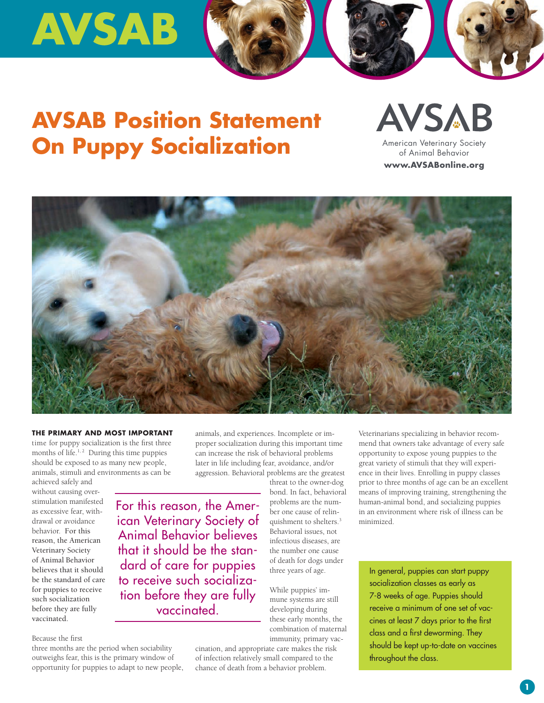# **AVSAB**

### **AVSAB Position Statement On Puppy Socialization**

**AVSAB** American Veterinary Society of Animal Behavior www.AVSABonline.org



#### **The PrimAry And mOST imPOrTAnT**

time for puppy socialization is the first three months of life.<sup>1,2</sup> During this time puppies should be exposed to as many new people, animals, stimuli and environments as can be

achieved safely and without causing overstimulation manifested as excessive fear, withdrawal or avoidance behavior. For this reason, the American Veterinary Society of Animal Behavior believes that it should be the standard of care for puppies to receive such socialization before they are fully vaccinated.

Because the first

three months are the period when sociability outweighs fear, this is the primary window of opportunity for puppies to adapt to new people, animals, and experiences. Incomplete or improper socialization during this important time can increase the risk of behavioral problems later in life including fear, avoidance, and/or aggression. Behavioral problems are the greatest

For this reason, the American Veterinary Society of Animal Behavior believes that it should be the standard of care for puppies to receive such socialization before they are fully **vaccinated.** 

threat to the owner-dog bond. In fact, behavioral problems are the number one cause of relinquishment to shelters.3 Behavioral issues, not infectious diseases, are the number one cause of death for dogs under three years of age.

While puppies' immune systems are still developing during these early months, the combination of maternal immunity, primary vac-

cination, and appropriate care makes the risk of infection relatively small compared to the chance of death from a behavior problem.

Veterinarians specializing in behavior recommend that owners take advantage of every safe opportunity to expose young puppies to the great variety of stimuli that they will experience in their lives. Enrolling in puppy classes prior to three months of age can be an excellent means of improving training, strengthening the human-animal bond, and socializing puppies in an environment where risk of illness can be minimized.

In general, puppies can start puppy socialization classes as early as 7-8 weeks of age. Puppies should receive a minimum of one set of vaccines at least 7 days prior to the first class and a first deworming. They should be kept up-to-date on vaccines throughout the class.